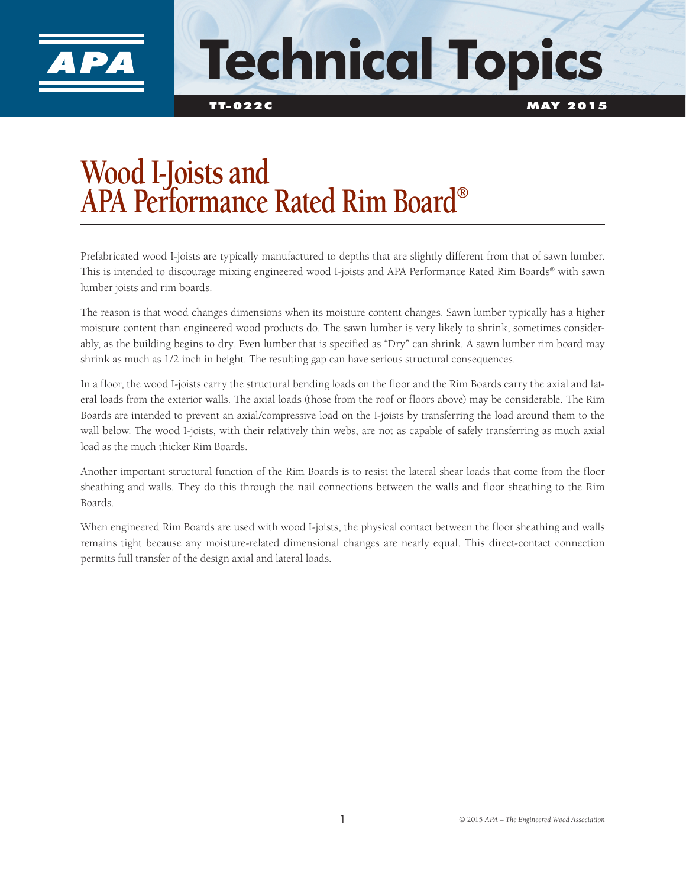

## **Technical Topics**

TT-022C MAY 2015

## **Wood I-Joists and APA Performance Rated Rim Board®**

Prefabricated wood I-joists are typically manufactured to depths that are slightly different from that of sawn lumber. This is intended to discourage mixing engineered wood I-joists and APA Performance Rated Rim Boards® with sawn lumber joists and rim boards.

The reason is that wood changes dimensions when its moisture content changes. Sawn lumber typically has a higher moisture content than engineered wood products do. The sawn lumber is very likely to shrink, sometimes considerably, as the building begins to dry. Even lumber that is specified as "Dry" can shrink. A sawn lumber rim board may shrink as much as 1/2 inch in height. The resulting gap can have serious structural consequences.

In a floor, the wood I-joists carry the structural bending loads on the floor and the Rim Boards carry the axial and lateral loads from the exterior walls. The axial loads (those from the roof or floors above) may be considerable. The Rim Boards are intended to prevent an axial/compressive load on the I-joists by transferring the load around them to the wall below. The wood I-joists, with their relatively thin webs, are not as capable of safely transferring as much axial load as the much thicker Rim Boards.

Another important structural function of the Rim Boards is to resist the lateral shear loads that come from the floor sheathing and walls. They do this through the nail connections between the walls and floor sheathing to the Rim Boards.

When engineered Rim Boards are used with wood I-joists, the physical contact between the floor sheathing and walls remains tight because any moisture-related dimensional changes are nearly equal. This direct-contact connection permits full transfer of the design axial and lateral loads.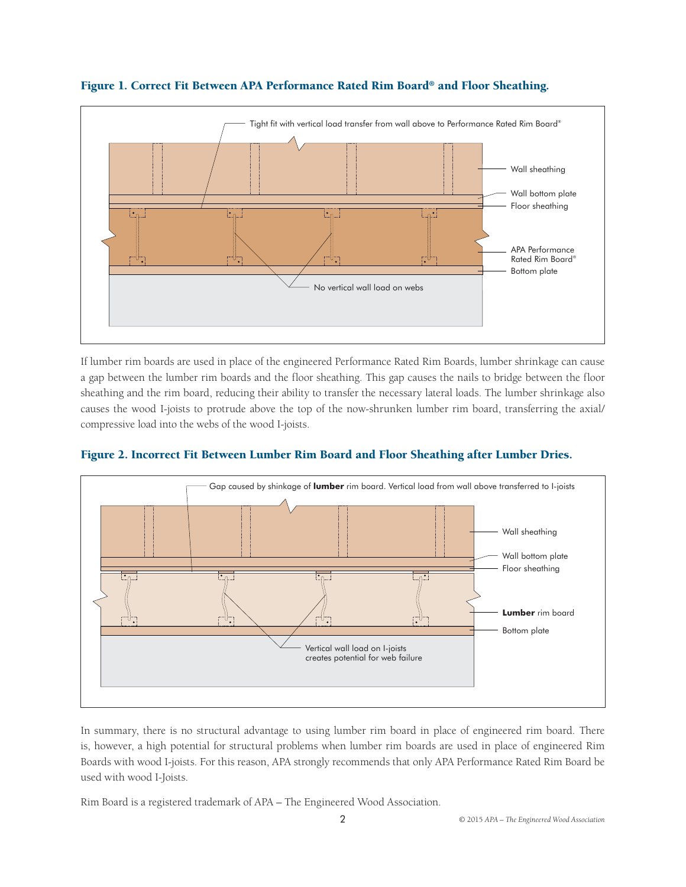

## Figure 1. Correct Fit Between APA Performance Rated Rim Board® and Floor Sheathing.

If lumber rim boards are used in place of the engineered Performance Rated Rim Boards, lumber shrinkage can cause a gap between the lumber rim boards and the floor sheathing. This gap causes the nails to bridge between the floor sheathing and the rim board, reducing their ability to transfer the necessary lateral loads. The lumber shrinkage also causes the wood I-joists to protrude above the top of the now-shrunken lumber rim board, transferring the axial/ compressive load into the webs of the wood I-joists.



## Figure 2. Incorrect Fit Between Lumber Rim Board and Floor Sheathing after Lumber Dries.

In summary, there is no structural advantage to using lumber rim board in place of engineered rim board. There is, however, a high potential for structural problems when lumber rim boards are used in place of engineered Rim Boards with wood I-joists. For this reason, APA strongly recommends that only APA Performance Rated Rim Board be used with wood I-Joists.

Rim Board is a registered trademark of APA – The Engineered Wood Association.